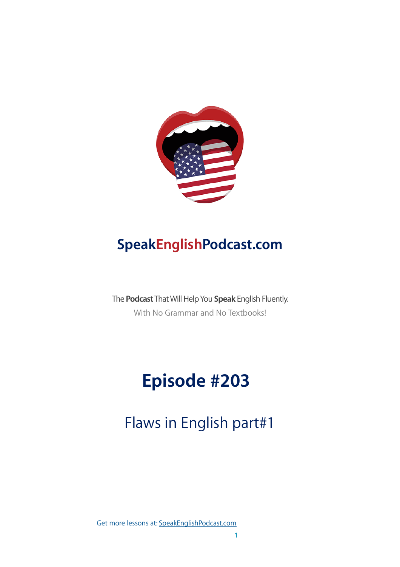

## **SpeakEnglishPodcast.com**

The **Podcast** That Will Help You **Speak** English Fluently. With No Grammar and No Textbooks!

# **Episode #203**

## Flaws in English part#1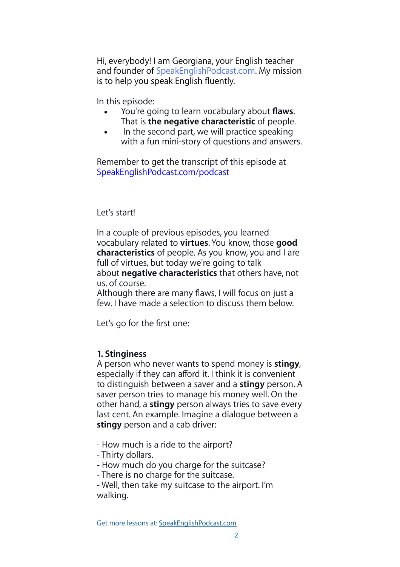Hi, everybody! I am Georgiana, your English teacher and founder of [SpeakEnglishPodcast.com](http://speakenglishpodcast.com/). My mission is to help you speak English fluently.

In this episode:

- You're going to learn vocabulary about **flaws**. That is **the negative characteristic** of people.
- In the second part, we will practice speaking with a fun mini-story of questions and answers.

Remember to get the transcript of this episode at [SpeakEnglishPodcast.com/podcast](http://SpeakEnglishPodcast.com/podcast)

Let's start!

In a couple of previous episodes, you learned vocabulary related to **virtues**. You know, those **good characteristics** of people. As you know, you and I are full of virtues, but today we're going to talk about **negative characteristics** that others have, not us, of course.

Although there are many flaws, I will focus on just a few. I have made a selection to discuss them below.

Let's go for the first one:

## **1. Stinginess**

A person who never wants to spend money is **stingy**, especially if they can afford it. I think it is convenient to distinguish between a saver and a **stingy** person. A saver person tries to manage his money well. On the other hand, a **stingy** person always tries to save every last cent. An example. Imagine a dialogue between a **stingy** person and a cab driver:

- How much is a ride to the airport?

- Thirty dollars.

- How much do you charge for the suitcase?

- There is no charge for the suitcase.

- Well, then take my suitcase to the airport. I'm walking.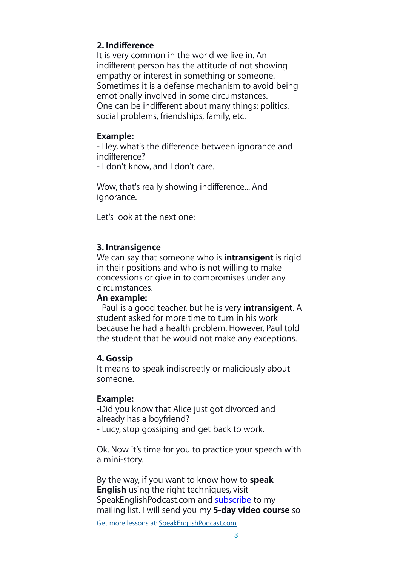## **2. Indifference**

It is very common in the world we live in. An indifferent person has the attitude of not showing empathy or interest in something or someone. Sometimes it is a defense mechanism to avoid being emotionally involved in some circumstances. One can be indifferent about many things: politics, social problems, friendships, family, etc.

## **Example:**

- Hey, what's the difference between ignorance and indifference?

- I don't know, and I don't care.

Wow, that's really showing indifference... And ignorance.

Let's look at the next one:

## **3. Intransigence**

We can say that someone who is **intransigent** is rigid in their positions and who is not willing to make concessions or give in to compromises under any circumstances.

### **An example:**

- Paul is a good teacher, but he is very **intransigent**. A student asked for more time to turn in his work because he had a health problem. However, Paul told the student that he would not make any exceptions.

### **4. Gossip**

It means to speak indiscreetly or maliciously about someone.

## **Example:**

-Did you know that Alice just got divorced and already has a boyfriend?

- Lucy, stop gossiping and get back to work.

Ok. Now it's time for you to practice your speech with a mini-story.

By the way, if you want to know how to **speak English** using the right techniques, visit SpeakEnglishPodcast.com and [subscribe](https://fluencythroughstories.lpages.co/method/) to my mailing list. I will send you my **5-day video course** so

Get more lessons at: [SpeakEnglishPodcast.com](https://www.speakenglishpod.com/)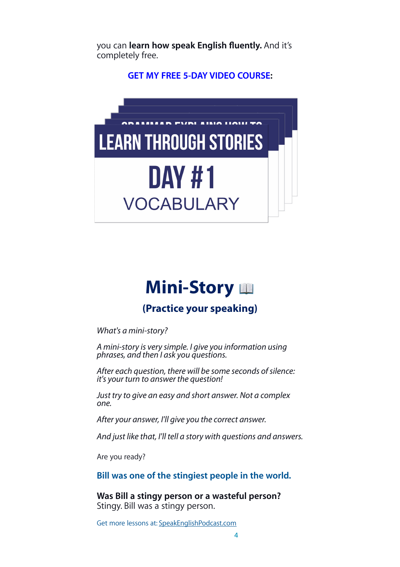you can **learn how speak English fluently.** And it's completely free.

**[GET MY FREE 5-DAY VIDEO COURSE:](https://fluencythroughstories.lpages.co/method/)**



# **Mini-Story**

## **(Practice your speaking)**

*What's a mini-story?*

*A mini-story is very simple. I give you information using phrases, and then I ask you questions.*

*After each question, there will be some seconds of silence: it's your turn to answer the question!*

*Just try to give an easy and short answer. Not a complex one.*

*After your answer, I'll give you the correct answer.*

*And just like that, I'll tell a story with questions and answers.*

Are you ready?

**Bill was one of the stingiest people in the world.**

**Was Bill a stingy person or a wasteful person?** Stingy. Bill was a stingy person.

Get more lessons at: [SpeakEnglishPodcast.com](https://www.speakenglishpod.com/)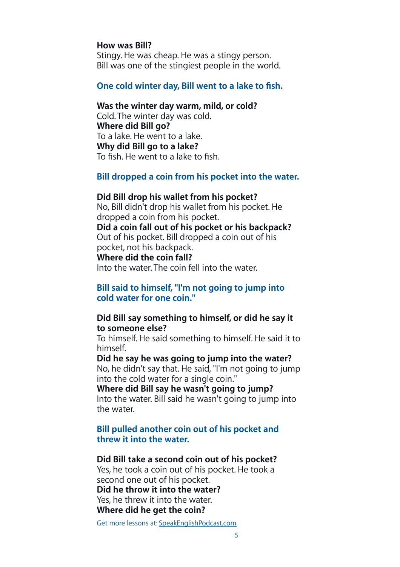#### **How was Bill?**

Stingy. He was cheap. He was a stingy person. Bill was one of the stingiest people in the world.

#### **One cold winter day, Bill went to a lake to fish.**

#### **Was the winter day warm, mild, or cold?**

Cold. The winter day was cold. **Where did Bill go?** To a lake. He went to a lake. **Why did Bill go to a lake?** To fish. He went to a lake to fish.

#### **Bill dropped a coin from his pocket into the water.**

#### **Did Bill drop his wallet from his pocket?**

No, Bill didn't drop his wallet from his pocket. He dropped a coin from his pocket. **Did a coin fall out of his pocket or his backpack?**

Out of his pocket. Bill dropped a coin out of his pocket, not his backpack.

#### **Where did the coin fall?**

Into the water. The coin fell into the water.

#### **Bill said to himself, "I'm not going to jump into cold water for one coin."**

#### **Did Bill say something to himself, or did he say it to someone else?**

To himself. He said something to himself. He said it to himself.

#### **Did he say he was going to jump into the water?** No, he didn't say that. He said, "I'm not going to jump

into the cold water for a single coin."

#### **Where did Bill say he wasn't going to jump?**

Into the water. Bill said he wasn't going to jump into the water.

#### **Bill pulled another coin out of his pocket and threw it into the water.**

#### **Did Bill take a second coin out of his pocket?**

Yes, he took a coin out of his pocket. He took a second one out of his pocket. **Did he throw it into the water?** Yes, he threw it into the water.

#### **Where did he get the coin?**

Get more lessons at: [SpeakEnglishPodcast.com](https://www.speakenglishpod.com/)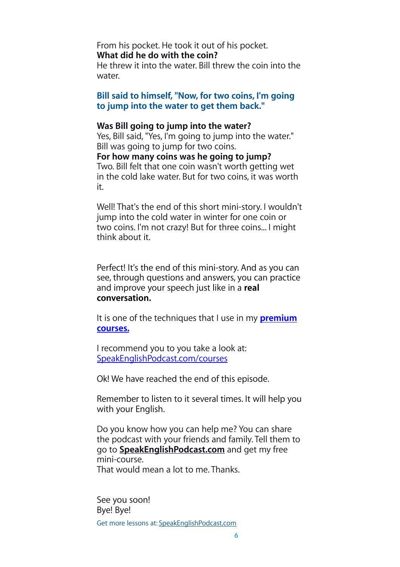## From his pocket. He took it out of his pocket. **What did he do with the coin?**

He threw it into the water. Bill threw the coin into the water.

**Bill said to himself, "Now, for two coins, I'm going to jump into the water to get them back."**

#### **Was Bill going to jump into the water?**

Yes, Bill said, "Yes, I'm going to jump into the water." Bill was going to jump for two coins. **For how many coins was he going to jump?** Two. Bill felt that one coin wasn't worth getting wet in the cold lake water. But for two coins, it was worth it.

Well! That's the end of this short mini-story. I wouldn't jump into the cold water in winter for one coin or two coins. I'm not crazy! But for three coins... I might think about it.

Perfect! It's the end of this mini-story. And as you can see, through questions and answers, you can practice and improve your speech just like in a **real conversation.**

It is one of the techniques that I use in my **[premium](http://SpeakEnglishPodcast.com/courses)  [courses.](http://SpeakEnglishPodcast.com/courses)**

I recommend you to you take a look at: [SpeakEnglishPodcast.com/courses](http://SpeakEnglishPodcast.com/courses)

Ok! We have reached the end of this episode.

Remember to listen to it several times. It will help you with your English.

Do you know how you can help me? You can share the podcast with your friends and family. Tell them to go to **[SpeakEnglishPodcast.com](http://speakenglishpodcast.com/)** and get my free mini-course. That would mean a lot to me. Thanks.

See you soon! Bye! Bye! Get more lessons at: [SpeakEnglishPodcast.com](https://www.speakenglishpod.com/)